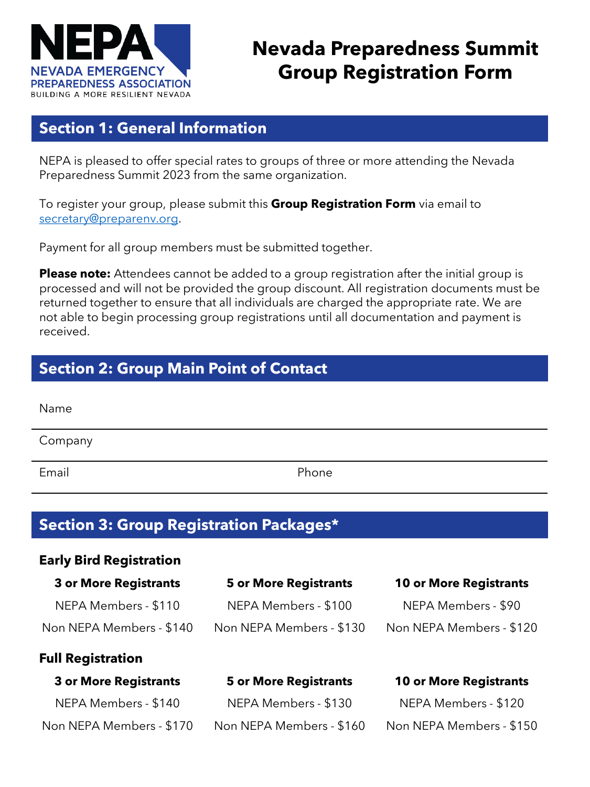

# **Nevada Preparedness Summit Group Registration Form**

## **Section 1: General Information**

NEPA is pleased to offer special rates to groups of three or more attending the Nevada Preparedness Summit 2023 from the same organization.

To register your group, please submit this **Group Registration Form** via email to [secretary@preparenv.org](mailto:secretary@preparenv.org).

Payment for all group members must be submitted together.

**Please note:** Attendees cannot be added to a group registration after the initial group is processed and will not be provided the group discount. All registration documents must be returned together to ensure that all individuals are charged the appropriate rate. We are not able to begin processing group registrations until all documentation and payment is received.

## **Section 2: Group Main Point of Contact**

| Name    |       |
|---------|-------|
| Company |       |
| Email   | Phone |

# **Section 3: Group Registration Packages\***

| <b>Early Bird Registration</b> |                              |                               |  |
|--------------------------------|------------------------------|-------------------------------|--|
| <b>3 or More Registrants</b>   | <b>5 or More Registrants</b> | <b>10 or More Registrants</b> |  |
| NEPA Members - \$110           | NEPA Members - \$100         | NEPA Members - \$90           |  |
| Non NEPA Members - \$140       | Non NEPA Members - \$130     | Non NEPA Members - \$120      |  |
| <b>Full Registration</b>       |                              |                               |  |
| <b>3 or More Registrants</b>   | <b>5 or More Registrants</b> | <b>10 or More Registrants</b> |  |
| NEPA Members - \$140           | NEPA Members - \$130         | NEPA Members - \$120          |  |
| Non NEPA Members - \$170       | Non NEPA Members - \$160     | Non NEPA Members - \$150      |  |